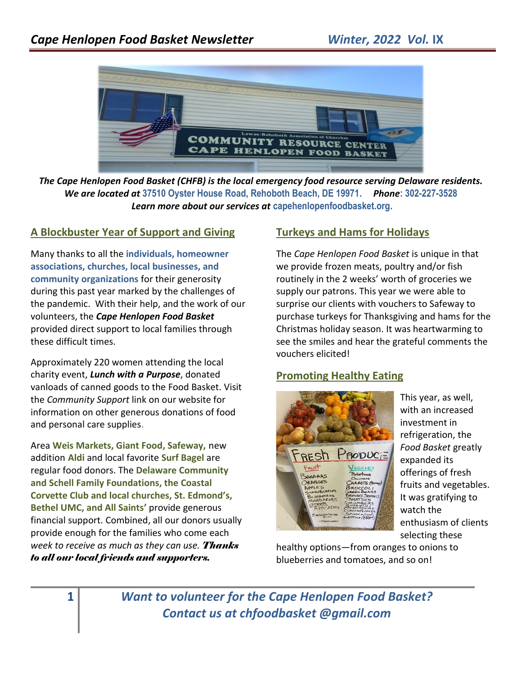

*The Cape Henlopen Food Basket (CHFB) is the local emergency food resource serving Delaware residents. We are located at* **37510 Oyster House Road, Rehoboth Beach, DE 19971.** *Phone***: 302-227-3528** *Learn more about our services at* **capehenlopenfoodbasket.org.**

#### **A Blockbuster Year of Support and Giving**

Many thanks to all the **individuals, homeowner associations, churches, local businesses, and community organizations** for their generosity during this past year marked by the challenges of the pandemic. With their help, and the work of our volunteers, the *Cape Henlopen Food Basket* provided direct support to local families through these difficult times.

Approximately 220 women attending the local charity event, *Lunch with a Purpose*, donated vanloads of canned goods to the Food Basket. Visit the *Community Support* link on our website for information on other generous donations of food and personal care supplies.

Area **Weis Markets, Giant Food, Safeway,** new addition **Aldi** and local favorite **Surf Bagel** are regular food donors. The **Delaware Community and Schell Family Foundations, the Coastal Corvette Club and local churches, St. Edmond's, Bethel UMC, and All Saints'** provide generous financial support. Combined, all our donors usually provide enough for the families who come each *week to receive as much as they can use. Thanks to all our local friends and supporters.*

#### **Turkeys and Hams for Holidays**

The *Cape Henlopen Food Basket* is unique in that we provide frozen meats, poultry and/or fish routinely in the 2 weeks' worth of groceries we supply our patrons. This year we were able to surprise our clients with vouchers to Safeway to purchase turkeys for Thanksgiving and hams for the Christmas holiday season. It was heartwarming to see the smiles and hear the grateful comments the vouchers elicited!

#### **Promoting Healthy Eating**



This year, as well, with an increased investment in refrigeration, the *Food Basket* greatly expanded its offerings of fresh fruits and vegetables. It was gratifying to watch the enthusiasm of clients selecting these

healthy options—from oranges to onions to blueberries and tomatoes, and so on!

**1** *Want to volunteer for the Cape Henlopen Food Basket? Contact us at chfoodbasket @gmail.com*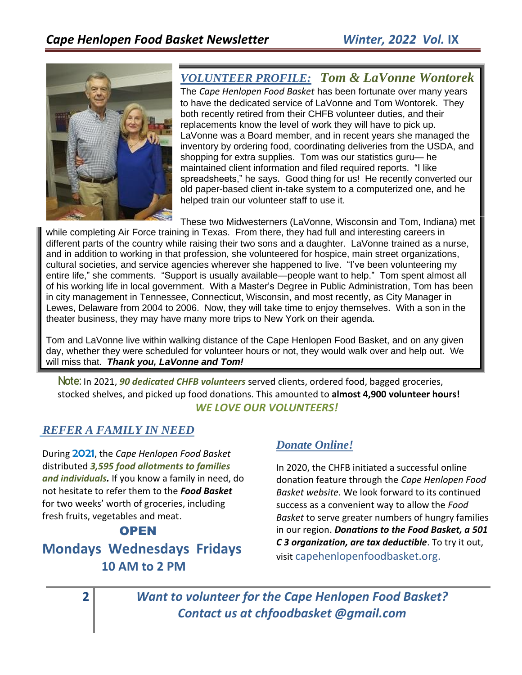

## *VOLUNTEER PROFILE: Tom & LaVonne Wontorek*

The *Cape Henlopen Food Basket* has been fortunate over many years to have the dedicated service of LaVonne and Tom Wontorek. They both recently retired from their CHFB volunteer duties, and their replacements know the level of work they will have to pick up. LaVonne was a Board member, and in recent years she managed the inventory by ordering food, coordinating deliveries from the USDA, and shopping for extra supplies. Tom was our statistics guru— he maintained client information and filed required reports. "I like spreadsheets," he says. Good thing for us! He recently converted our old paper-based client in-take system to a computerized one, and he helped train our volunteer staff to use it.

These two Midwesterners (LaVonne, Wisconsin and Tom, Indiana) met while completing Air Force training in Texas. From there, they had full and interesting careers in different parts of the country while raising their two sons and a daughter. LaVonne trained as a nurse, and in addition to working in that profession, she volunteered for hospice, main street organizations, cultural societies, and service agencies wherever she happened to live. "I've been volunteering my entire life," she comments. "Support is usually available—people want to help." Tom spent almost all of his working life in local government. With a Master's Degree in Public Administration, Tom has been in city management in Tennessee, Connecticut, Wisconsin, and most recently, as City Manager in Lewes, Delaware from 2004 to 2006. Now, they will take time to enjoy themselves. With a son in the theater business, they may have many more trips to New York on their agenda.

Tom and LaVonne live within walking distance of the Cape Henlopen Food Basket, and on any given day, whether they were scheduled for volunteer hours or not, they would walk over and help out. We will miss that. *Thank you, LaVonne and Tom!*

**Note:** In 2021, *90 dedicated CHFB volunteers* served clients, ordered food, bagged groceries, stocked shelves, and picked up food donations. This amounted to **almost 4,900 volunteer hours!** *WE LOVE OUR VOLUNTEERS!*

#### *REFER A FAMILY IN NEED*

During 2021, the *Cape Henlopen Food Basket* distributed *3,595 food allotments to families and individuals.* If you know a family in need, do not hesitate to refer them to the *Food Basket* for two weeks' worth of groceries, including fresh fruits, vegetables and meat.

#### **OPEN**

# **Mondays Wednesdays Fridays 10 AM to 2 PM**

### *Donate Online!*

In 2020, the CHFB initiated a successful online donation feature through the *Cape Henlopen Food Basket website*. We look forward to its continued success as a convenient way to allow the *Food Basket* to serve greater numbers of hungry families in our region. *Donations to the Food Basket, a 501 C 3 organization, are tax deductible*. To try it out, visit capehenlopenfoodbasket.org.

**2** *Want to volunteer for the Cape Henlopen Food Basket? Contact us at chfoodbasket @gmail.com*